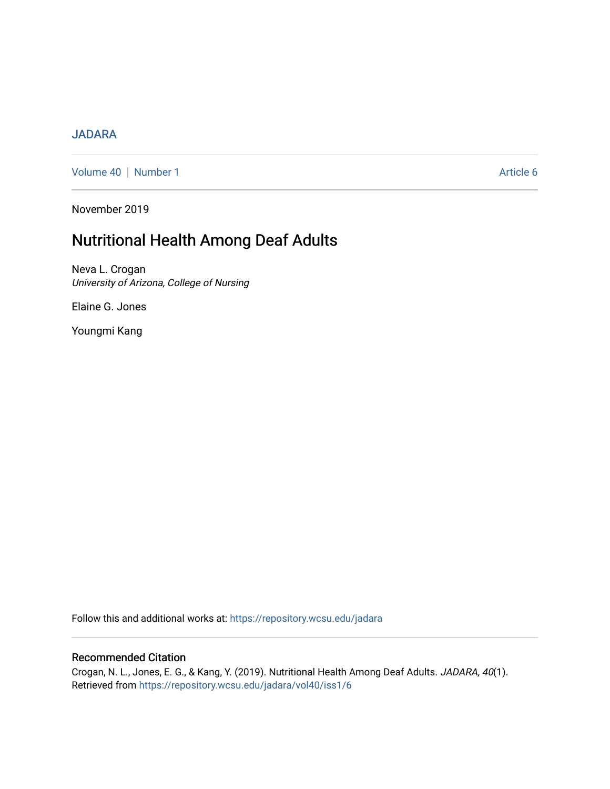#### [JADARA](https://repository.wcsu.edu/jadara)

[Volume 40](https://repository.wcsu.edu/jadara/vol40) | [Number 1](https://repository.wcsu.edu/jadara/vol40/iss1) Article 6

November 2019

# Nutritional Health Among Deaf Adults

Neva L. Crogan University of Arizona, College of Nursing

Elaine G. Jones

Youngmi Kang

Follow this and additional works at: [https://repository.wcsu.edu/jadara](https://repository.wcsu.edu/jadara?utm_source=repository.wcsu.edu%2Fjadara%2Fvol40%2Fiss1%2F6&utm_medium=PDF&utm_campaign=PDFCoverPages)

#### Recommended Citation

Crogan, N. L., Jones, E. G., & Kang, Y. (2019). Nutritional Health Among Deaf Adults. JADARA, 40(1). Retrieved from [https://repository.wcsu.edu/jadara/vol40/iss1/6](https://repository.wcsu.edu/jadara/vol40/iss1/6?utm_source=repository.wcsu.edu%2Fjadara%2Fvol40%2Fiss1%2F6&utm_medium=PDF&utm_campaign=PDFCoverPages)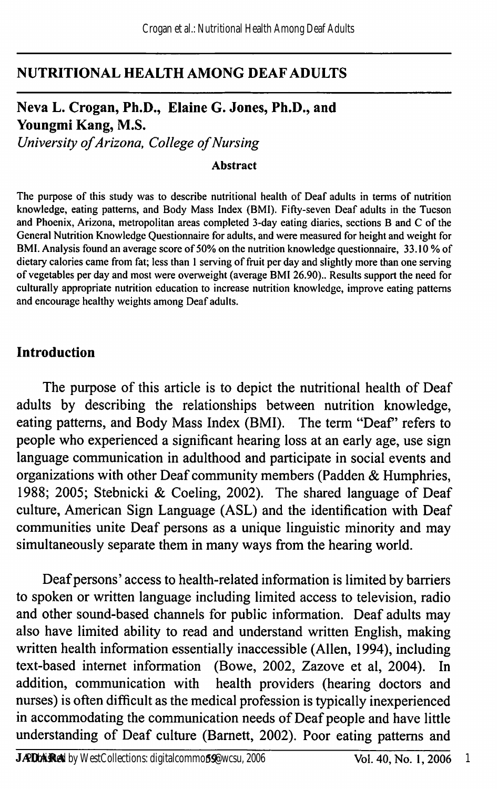#### NUTRITIONAL HEALTH AMONG DEAF ADULTS

# Neva L. Crogan, Ph.D., Elaine G. Jones, Ph.D., and Youngmi Kang, M.S.

University of Arizona, College of Nursing

#### Abstract

The purpose of this study was to describe nutritional health of Deaf adults in terms of nutrition knowledge, eating patterns, and Body Mass Index (BMI). Fifty-seven Deaf adults in the Tucson and Phoenix, Arizona, metropolitan areas completed 3-day eating diaries, sections B and C of the General Nutrition Knowledge Questionnaire for adults, and were measured for height and weight for BMI. Analysis found an average score of 50% on the nutrition knowledge questionnaire, 33.10 % of dietary calories came from fat; less than 1 serving of fruit per day and slightly more than one serving of vegetables per day and most were overweight (average BMI 26.90).. Results support the need for culturally appropriate nutrition education to increase nutrition knowledge, improve eating patterns and encourage healthy weights among Deaf adults.

#### Introduction

The purpose of this article is to depict the nutritional health of Deaf adults by describing the relationships between nutrition knowledge, eating patterns, and Body Mass Index (BMI). The term "Deaf" refers to people who experienced a significant hearing loss at an early age, use sign language communication in adulthood and participate in social events and organizations with other Deaf community members (Padden & Humphries, 1988; 2005; Stebnicki & Coeling, 2002). The shared language of Deaf culture, American Sign Language (ASL) and the identification with Deaf communities unite Deaf persons as a unique linguistic minority and may simultaneously separate them in many ways from the hearing world.

Deaf persons' access to health-related information is limited by barriers to spoken or written language including limited access to television, radio and other sound-based charmels for public information. Deaf adults may also have limited ability to read and understand written English, making written health information essentially inaccessible (Allen, 1994), including text-based internet information (Bowe, 2002, Zazove et al, 2004). In addition, communication with health providers (hearing doctors and nurses) is often difficult as the medical profession is typically inexperienced in accommodating the communication needs of Deaf people and have little understanding of Deaf culture (Bamett, 2002). Poor eating patterns and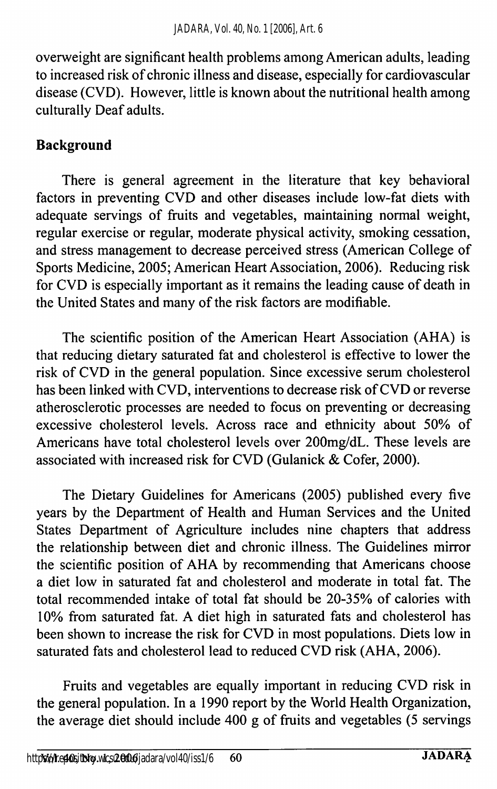overweight are significant health problems among American adults, leading to increased risk of chronic illness and disease, especially for cardiovascular disease (CVD). However, little is known about the nutritional health among culturally Deaf adults.

#### Background

There is general agreement in the literature that key behavioral factors in preventing CVD and other diseases include low-fat diets with adequate servings of fhiits and vegetables, maintaining normal weight, regular exercise or regular, moderate physical activity, smoking cessation, and stress management to decrease perceived stress (American College of Sports Medicine, 2005; American Heart Association, 2006). Reducing risk for CVD is especially important as it remains the leading cause of death in the United States and many of the risk factors are modifiable.

The scientific position of the American Heart Association (AHA) is that reducing dietary saturated fat and cholesterol is effective to lower the risk of CVD in the general population. Since excessive serum cholesterol has been linked with CVD, interventions to decrease risk of CVD or reverse atherosclerotic processes are needed to focus on preventing or decreasing excessive cholesterol levels. Across race and ethnicity about 50% of Americans have total cholesterol levels over 200mg/dL. These levels are associated with increased risk for CVD (Gulanick & Cofer, 2000).

The Dietary Guidelines for Americans (2005) published every five years by the Department of Health and Human Services and the United States Department of Agriculture includes nine chapters that address the relationship between diet and chronic illness. The Guidelines mirror the scientific position of AHA by recommending that Americans choose a diet low in saturated fat and cholesterol and moderate in total fat. The total recommended intake of total fat should be 20-35% of calories with 10% from saturated fat. A diet high in saturated fats and cholesterol has been shown to increase the risk for CVD in most populations. Diets low in saturated fats and cholesterol lead to reduced CVD risk (AHA, 2006).

Fruits and vegetables are equally important in reducing CVD risk in the general population. In a 1990 report by the World Health Organization, the average diet should include 400 g of fruits and vegetables (5 servings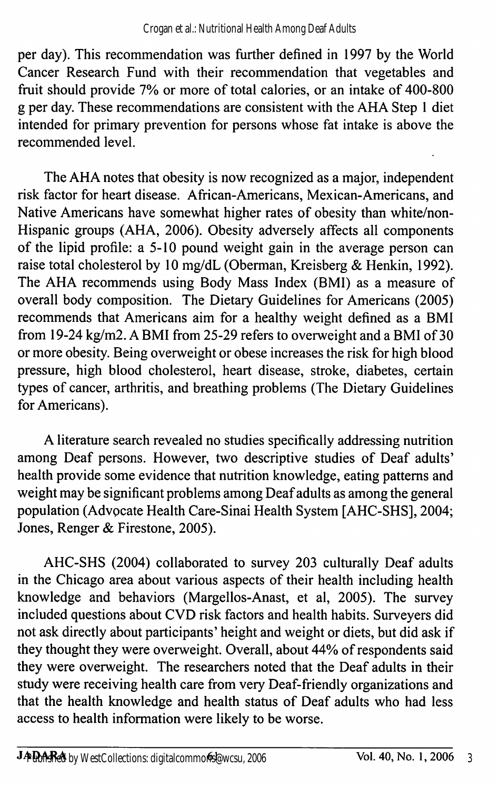per day). This recommendation was further defined in 1997 by the World Cancer Research Fund with their recommendation that vegetables and fruit should provide 7% or more of total calories, or an intake of 400-800 g per day. These recommendations are consistent with the AHA Step 1 diet intended for primary prevention for persons whose fat intake is above the recommended level.

The AHA notes that obesity is now recognized as a major, independent risk factor for heart disease. African-Americans, Mexican-Americans, and Native Americans have somewhat higher rates of obesity than white/non-Hispanic groups (AHA, 2006). Obesity adversely affects all components of the lipid profile: a 5-10 pound weight gain in the average person can raise total cholesterol by 10 mg/dL (Oberman, Kreisberg & Henkin, 1992). The AHA recommends using Body Mass Index (BMl) as a measure of overall body composition. The Dietary Guidelines for Americans (2005) recommends that Americans aim for a healthy weight defined as a BMI from 19-24 kg/m2. A BMI from 25-29 refers to overweight and a BMI of 30 or more obesity. Being overweight or obese increases the risk for high blood pressure, high blood cholesterol, heart disease, stroke, diabetes, certain types of cancer, arthritis, and breathing problems (The Dietary Guidelines for Americans).

A literature search revealed no studies specifically addressing nutrition among Deaf persons. However, two descriptive studies of Deaf adults' health provide some evidence that nutrition knowledge, eating patterns and weight may be significant problems among Deaf adults as among the general population (Advocate Health Care-Sinai Health System [AHC-SHS], 2004; Jones, Renger & Firestone, 2005).

AHC-SHS (2004) collaborated to survey 203 culturally Deaf adults in the Chicago area about various aspects of their health including health knowledge and behaviors (Margellos-Anast, et al, 2005). The survey included questions about CVD risk factors and health habits. Surveyers did not ask directly about participants' height and weight or diets, but did ask if they thought they were overweight. Overall, about 44% of respondents said they were overweight. The researchers noted that the Deaf adults in their study were receiving health care from very Deaf-friendly organizations and that the health knowledge and health status of Deaf adults who had less access to health information were likely to be worse.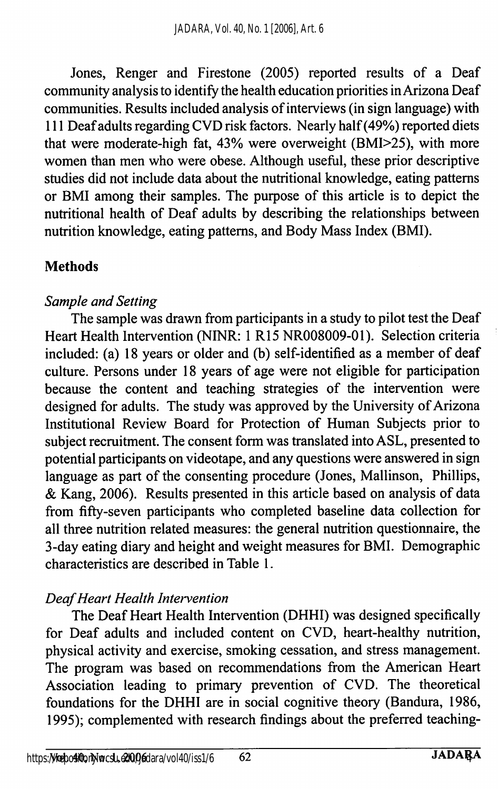Jones, Renger and Firestone (2005) reported results of a Deaf community analysis to identify the health education priorities in Arizona Deaf communities. Results included analysis of interviews (in sign language) with 111 Deaf adults regarding CVD risk factors. Nearly half (49%) reported diets that were moderate-high fat, 43% were overweight (BMI>25), with more women than men who were obese. Although useful, these prior descriptive studies did not include data about the nutritional knowledge, eating patterns or BMI among their samples. The purpose of this article is to depict the nutritional health of Deaf adults by describing the relationships between nutrition knowledge, eating patterns, and Body Mass Index (BMI).

#### **Methods**

#### Sample and Setting

The sample was drawn from participants in a study to pilot test the Deaf Heart Health Intervention (NINR: 1 R15 NR008009-01). Selection criteria included: (a) 18 years or older and (b) self-identified as a member of deaf culture. Persons under 18 years of age were not eligible for participation because the content and teaching strategies of the intervention were designed for adults. The study was approved by the University of Arizona Institutional Review Board for Protection of Human Subjects prior to subject recruitment. The consent form was translated into ASL, presented to potential participants on videotape, and any questions were answered in sign language as part of the consenting procedure (Jones, Mallinson, Phillips, & Kang, 2006). Results presented in this article based on analysis of data from fifty-seven participants who completed baseline data collection for all three nutrition related measures: the general nutrition questionnaire, the 3-day eating diary and height and weight measures for BMI. Demographic characteristics are described in Table 1.

# Deaf Heart Health Intervention

The Deaf Heart Health Intervention (DHHI) was designed specifically for Deaf adults and included content on CVD, heart-healthy nutrition, physical activity and exercise, smoking cessation, and stress management. The program was based on recommendations from the American Heart Association leading to primary prevention of CVD. The theoretical foundations for the DHHI are in social cognitive theory (Bandura, 1986, 1995); complemented with research findings about the preferred teaching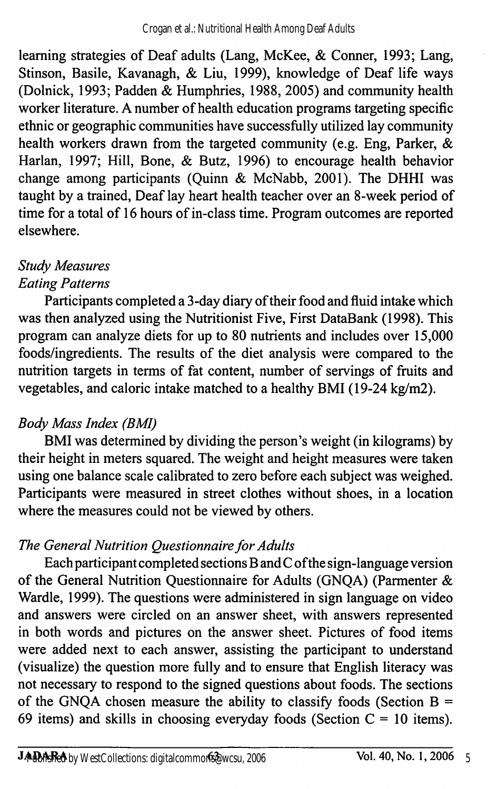learning strategies of Deaf adults (Lang, McKee, & Conner, 1993; Lang, Stinson, Basile, Kavanagh, & Liu, 1999), knowledge of Deaf life ways (Dolnick, 1993; Padden & Humphries, 1988, 2005) and community health worker literature. A number of health education programs targeting specific ethnic or geographic communities have successfully utilized lay community health workers drawn from the targeted community (e.g. Eng, Parker, & Harlan, 1997; Hill, Bone, & Butz, 1996) to encourage health behavior change among participants (Quinn & McNabb, 2001). The DHHI was taught by a trained. Deaf lay heart health teacher over an 8-week period of time for a total of 16 hours of in-class time. Program outcomes are reported elsewhere.

#### Study Measures Eating Patterns

Participants completed a 3-day diary of their food and fluid intake which was then analyzed using the Nutritionist Five, First DataBank (1998). This program can analyze diets for up to 80 nutrients and includes over 15,000 foods/ingredients. The results of the diet analysis were compared to the nutrition targets in terms of fat content, number of servings of fruits and vegetables, and caloric intake matched to a healthy BMI (19-24 kg/m2).

# Body Mass Index (BMI)

BMI was determined by dividing the person's weight (in kilograms) by their height in meters squared. The weight and height measures were taken using one balance scale calibrated to zero before each subject was weighed. Participants were measured in street clothes without shoes, in a location where the measures could not be viewed by others.

# The General Nutrition Questionnaire for Adults

Each participant completed sections B and C ofthe sign-language version of the General Nutrition Questionnaire for Adults (GNQA) (Parmenter & Wardle, 1999). The questions were administered in sign language on video and answers were circled on an answer sheet, with answers represented in both words and pictures on the answer sheet. Pictures of food items were added next to each answer, assisting the participant to understand (visualize) the question more fully and to ensure that English literacy was not necessary to respond to the signed questions about foods. The sections of the GNQA chosen measure the ability to classify foods (Section  $B =$ 69 items) and skills in choosing everyday foods (Section  $C = 10$  items).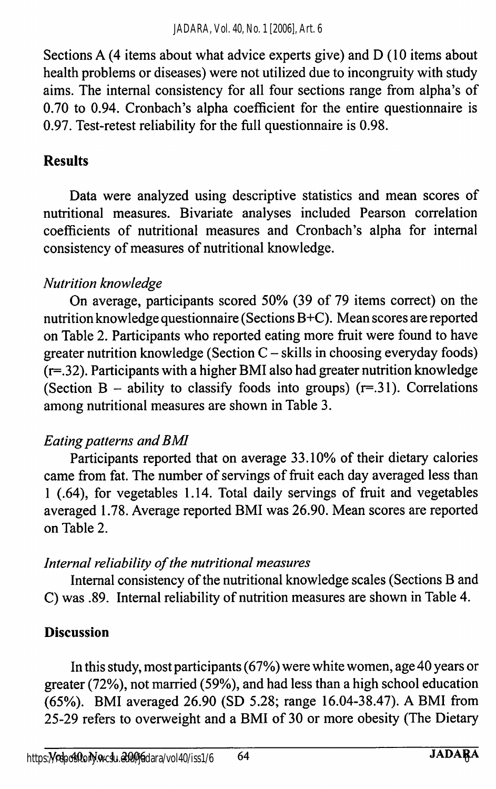Sections A (4 items about what advice experts give) and D (10 items about health problems or diseases) were not utilized due to incongruity with study aims. The internal consistency for all four sections range from alpha's of 0.70 to 0.94. Cronbach's alpha coefficient for the entire questionnaire is 0.97. Test-retest reliability for the full questionnaire is 0.98.

### Results

Data were analyzed using descriptive statistics and mean scores of nutritional measures. Bivariate analyses included Pearson correlation coefficients of nutritional measures and Cronbach's alpha for internal consistency of measures of nutritional knowledge.

#### Nutrition knowledge

On average, participants scored 50% (39 of 79 items correct) on the nutrition knowledge questionnaire (Sections B+C). Mean scores are reported on Table 2. Participants who reported eating more fhiit were found to have greater nutrition knowledge (Section  $C$  - skills in choosing everyday foods)  $(r=.32)$ . Participants with a higher BMI also had greater nutrition knowledge (Section B – ability to classify foods into groups)  $(r=.31)$ . Correlations among nutritional measures are shown in Table 3.

# Eating patterns and BMI

Participants reported that on average 33.10% of their dietary calories came from fat. The number of servings of fruit each day averaged less than 1 (.64), for vegetables 1.14. Total daily servings of fruit and vegetables averaged 1.78. Average reported BMI was 26.90. Mean scores are reported on Table 2.

#### Internal reliability of the nutritional measures

Intemal consistency of the nutritional knowledge scales (Sections B and C) was .89. Intemal reliability of nutrition measures are shown in Table 4.

#### Discussion

In this study, most participants (67%) were white women, age 40 years or greater (72%), not married (59%), and had less than a high school education (65%). BMI averaged 26.90 (SD 5.28; range 16.04-38.47). A BMI from 25-29 refers to overweight and a BMI of 30 or more obesity (The Dietary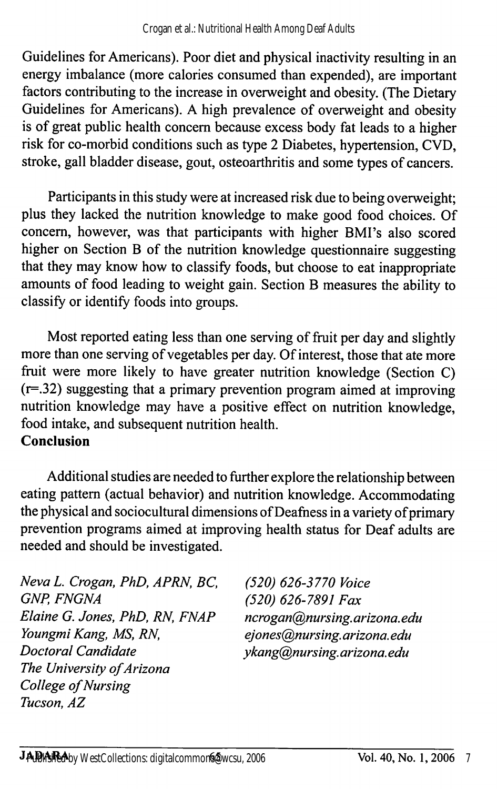Guidelines for Americans). Poor diet and physical inactivity resulting in an energy imbalance (more calories consumed than expended), are important factors contributing to the increase in overweight and obesity. (The Dietary Guidelines for Americans). A high prevalence of overweight and obesity is of great public health concern because excess body fat leads to a higher risk for co-morbid conditions such as type 2 Diabetes, hypertension, CVD, stroke, gall bladder disease, gout, osteoarthritis and some types of cancers.

Participants in this study were at increased risk due to being overweight; plus they lacked the nutrition knowledge to make good food choices. Of concern, however, was that participants with higher BMI's also scored higher on Section B of the nutrition knowledge questionnaire suggesting that they may know how to classify foods, but choose to eat inappropriate amounts of food leading to weight gain. Section B measures the ability to classify or identify foods into groups.

Most reported eating less than one serving of fruit per day and slightly more than one serving of vegetables per day. Of interest, those that ate more fruit were more likely to have greater nutrition knowledge (Section C) (r=.32) suggesting that a primary prevention program aimed at improving nutrition knowledge may have a positive effect on nutrition knowledge, food intake, and subsequent nutrition health. Conclusion

Additional studies are needed to further explore the relationship between eating pattern (actual behavior) and nutrition knowledge. Accommodating the physical and sociocultural dimensions of Deafness in a variety of primary prevention programs aimed at improving health status for Deaf adults are needed and should be investigated.

Neva L. Crogan, PhD, APRN, BC, (520) 626-3770 Voice<br>GNP, FNGNA (520) 626-7891 Fax Elaine G. Jones, PhD, RN, FNAP ncrogan@nursing.arizona.edu<br>Youngmi Kang, MS, RN, energy eiones@nursing.arizona.edu Doctoral Candidate ykang@nursing.arizona.edu The University of Arizona College of Nursing Tucson, AZ

(520) 626-7891 Fax ejones@nursing.arizona.edu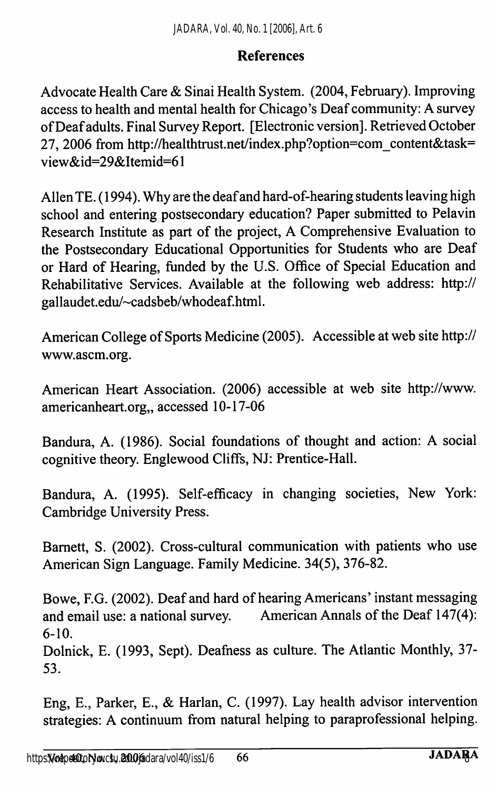#### References

Advocate Health Care & Sinai Health System. (2004, February). Improving access to health and mental health for Chicago's Deaf community: A survey of Deaf adults. Final Survey Report. [Electronic version]. Retrieved October 27, 2006 from http://healthtrust.net/index.php?option=com\_content&task= view&id=29&Itemid=61

Allen TE. (1994). Why are the deaf and hard-of-hearing students leaving high school and entering postsecondary education? Paper submitted to Pelavin Research Institute as part of the project, A Comprehensive Evaluation to the Postsecondary Educational Opportunities for Students who are Deaf or Hard of Hearing, funded by the U.S. Office of Special Education and Rehabilitative Services. Available at the following web address: http:// gallaudet.edu/~cadsbeb/whodeaf.html.

American College of Sports Medicine (2005). Accessible at web site http:// www.ascm.org.

American Heart Association. (2006) accessible at web site http://www. americanheart.org,, accessed 10-17-06

Bandura, A. (1986). Social foundations of thought and action: A social cognitive theory. Englewood Cliffs, NJ: Prentice-Hall.

Bandura, A. (1995). Self-efficacy in changing societies. New York: Cambridge University Press.

Bamett, S. (2002). Cross-cultural communication with patients who use American Sign Language. Family Medicine. 34(5), 376-82.

Bowe, F.G. (2002). Deaf and hard of hearing Americans' instant messaging and email use: a national survey. American Annals of the Deaf 147(4): 6-10.

Dolnick, E. (1993, Sept). Deafness as culture. The Atlantic Monthly, 37- 53.

Eng, E., Parker, E., & Harlan, C. (1997). Lay health advisor intervention strategies: A continuum from natural helping to paraprofessional helping.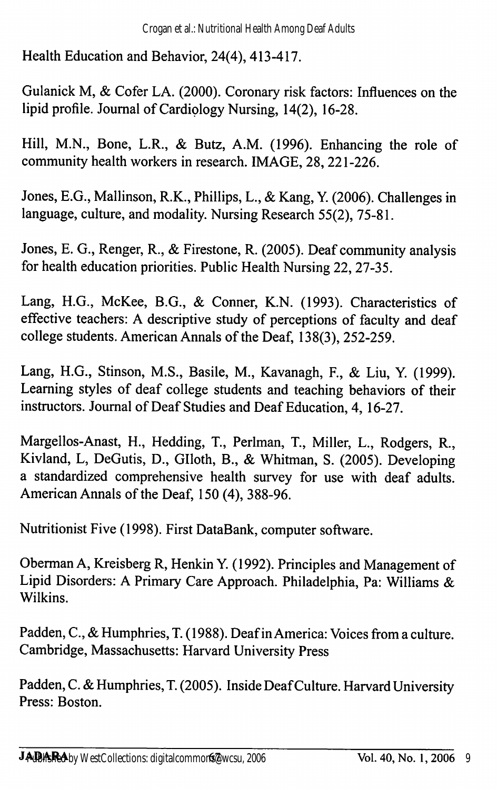Health Education and Behavior, 24(4), 413-417.

Gulanick M, & Cofer LA. (2000). Coronary risk factors: Influences on the lipid profile. Journal of Cardiology Nursing, 14(2), 16-28.

Hill, M.N., Bone, L.R., & Butz, A.M. (1996). Enhancing the role of community health workers in research. IMAGE, 28, 221-226.

Jones, E.G., Mallinson, R.K., Phillips, L., & Kang, Y. (2006). Challenges in language, culture, and modality. Nursing Research 55(2), 75-81.

Jones, E. G., Renger, R., & Firestone, R. (2005). Deaf community analysis for health education priorities. Public Health Nursing 22, 27-35.

Lang, H.G., McKee, B.G., & Conner, K.N. (1993). Characteristics of effective teachers: A descriptive study of perceptions of faculty and deaf college students. American Annals of the Deaf, 138(3), 252-259.

Lang, H.G., Stinson, M.S., Basile, M., Kavanagh, P., & Liu, Y. (1999). Learning styles of deaf college students and teaching behaviors of their instructors. Journal of Deaf Studies and Deaf Education, 4, 16-27.

Margellos-Anast, H., Hedding, T., Perlman, T., Miller, L., Rodgers, R., Kivland, L, DeGutis, D., Glloth, B., & Whitman, S. (2005). Developing a standardized comprehensive health survey for use with deaf adults. American Annals of the Deaf, 150 (4), 388-96.

Nutritionist Five (1998). First DataBank, computer software.

Oberman A, Kreisberg R, Henkin Y. (1992). Principles and Management of Lipid Disorders: A Primary Care Approach. Philadelphia, Pa: Williams &. Wilkins.

Padden, C., & Humphries, T. (1988). Deaf in America: Voices from a culture. Cambridge, Massachusetts: Harvard University Press

Padden, C. & Humphries, T. (2005). Inside Deaf Culture. Harvard University Press: Boston.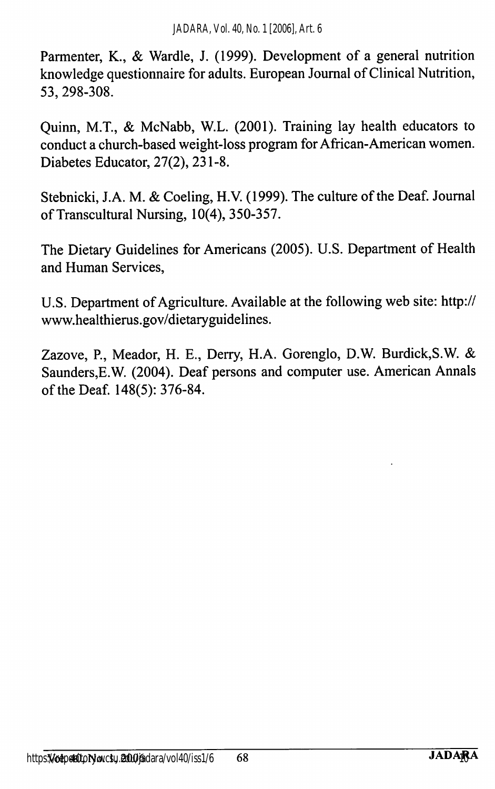Parmenter, K., & Wardle, J. (1999). Development of a general nutrition knowledge questionnaire for adults. European Journal of Clinical Nutrition, 53, 298-308.

Quinn, M.T., & McNabb, W.L. (2001). Training lay health educators to conduct a church-based weight-loss program for African-American women. Diabetes Educator, 27(2), 231-8.

Stebnicki, J.A. M. & Coeling, H.V. (1999). The culture of the Deaf. Journal of Transcultural Nursing, 10(4), 350-357.

The Dietary Guidelines for Americans (2005). U.S. Department of Health and Human Services,

U.S. Department of Agriculture. Available at the following web site; http:// www.healthierus.gov/dietaryguidelines.

Zazove, P., Meador, H. E., Derry, H.A. Gorenglo, D.W. Burdick,S.W. & Saunders,E.W. (2004). Deaf persons and computer use. American Annals of the Deaf. 148(5): 376-84.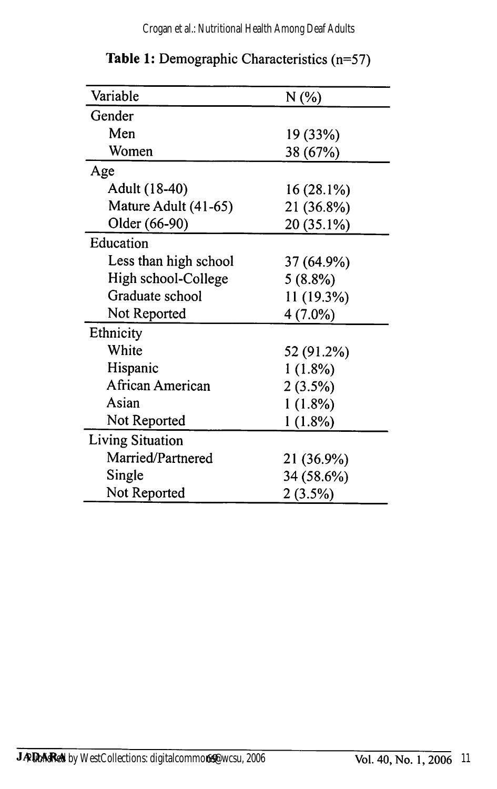Crogan et al.: Nutritional Health Among Deaf Adults

| Variable                | N (%)      |
|-------------------------|------------|
| Gender                  |            |
| Men                     | 19 (33%)   |
| Women                   | 38 (67%)   |
| Age                     |            |
| Adult (18-40)           | 16 (28.1%) |
| Mature Adult (41-65)    | 21 (36.8%) |
| Older (66-90)           | 20 (35.1%) |
| Education               |            |
| Less than high school   | 37 (64.9%) |
| High school-College     | 5(8.8%)    |
| Graduate school         | 11 (19.3%) |
| Not Reported            | $4(7.0\%)$ |
| Ethnicity               |            |
| White                   | 52 (91.2%) |
| Hispanic                | $1(1.8\%)$ |
| African American        | 2(3.5%)    |
| Asian                   | $1(1.8\%)$ |
| Not Reported            | $1(1.8\%)$ |
| <b>Living Situation</b> |            |
| Married/Partnered       | 21 (36.9%) |
| Single                  | 34 (58.6%) |
| Not Reported            | $2(3.5\%)$ |

Table 1: Demographic Characteristics (n=57)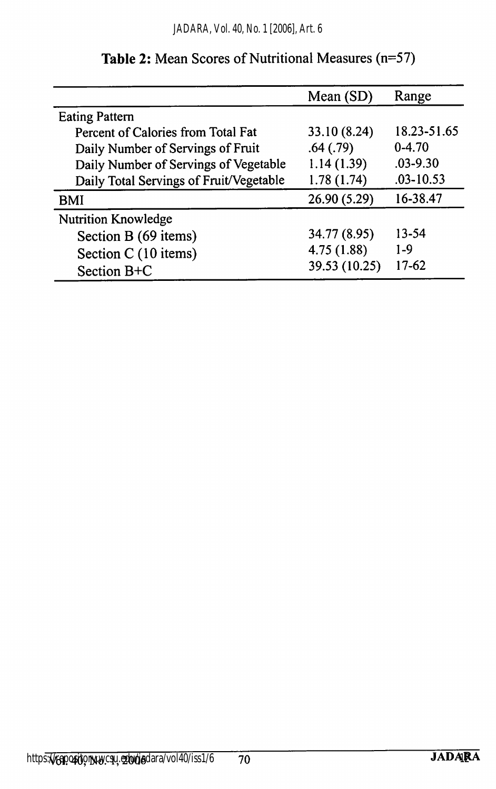|                                         | Mean $(SD)$   | Range         |
|-----------------------------------------|---------------|---------------|
| <b>Eating Pattern</b>                   |               |               |
| Percent of Calories from Total Fat      | 33.10 (8.24)  | 18.23-51.65   |
| Daily Number of Servings of Fruit       | .64(.79)      | $0-4.70$      |
| Daily Number of Servings of Vegetable   | 1.14(1.39)    | $.03 - 9.30$  |
| Daily Total Servings of Fruit/Vegetable | 1.78(1.74)    | $.03 - 10.53$ |
| BMI                                     | 26.90 (5.29)  | 16-38.47      |
| <b>Nutrition Knowledge</b>              |               |               |
| Section B (69 items)                    | 34.77 (8.95)  | 13-54         |
| Section C (10 items)                    | 4.75(1.88)    | $1-9$         |
| Section B+C                             | 39.53 (10.25) | $17-62$       |

#### Table 2: Mean Scores of Nutritional Measures (n=57)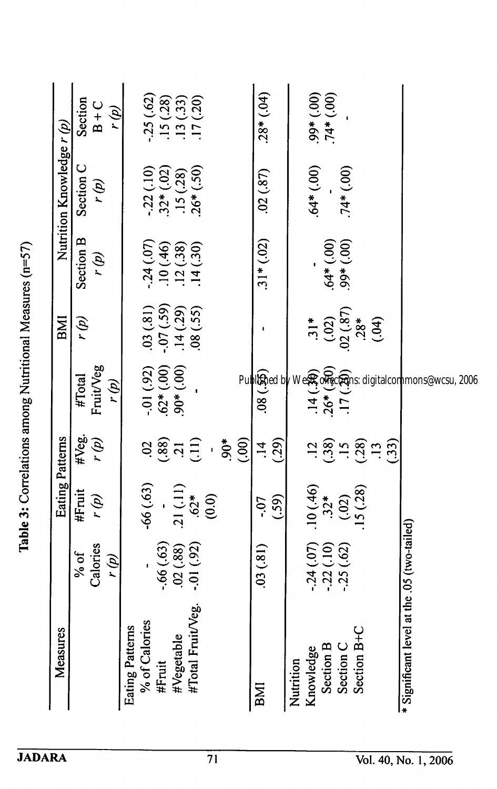| Measures                                    |             | Eating Patterns         |                                                                                     |                                         | BMI                                  |                            | Nutrition Knowledge $r(p)$                           |                                     |
|---------------------------------------------|-------------|-------------------------|-------------------------------------------------------------------------------------|-----------------------------------------|--------------------------------------|----------------------------|------------------------------------------------------|-------------------------------------|
|                                             | % of        | #Fruit                  |                                                                                     | #Total                                  | r (p)                                | Section B                  | Section C                                            | Section                             |
|                                             | Calories    | (d) ı                   | #Veg.<br>r (p)                                                                      | Fruit/Veg                               |                                      | r (p)                      | r (g)                                                | $B + C$                             |
|                                             | r (p)       |                         |                                                                                     | r (p)                                   |                                      |                            |                                                      | r (p)                               |
| Eating Patterns                             |             |                         |                                                                                     |                                         |                                      |                            |                                                      |                                     |
| % of Calories                               |             | $-66(0.63)$             |                                                                                     |                                         | .03(.81)                             | $-24(07)$                  |                                                      | .25(.62)                            |
| #Fruit                                      | $-.66(.63)$ |                         |                                                                                     |                                         |                                      |                            |                                                      |                                     |
| #Vegetable                                  | (88)        | .21(.11)                |                                                                                     | $-01$ (.92)<br>.62* (.00)<br>.90* (.00) |                                      | $.10(0.46)$<br>$.12(0.38)$ |                                                      |                                     |
| #Total Fruit/Veg.                           | $-.01(92)$  | $.62*$                  | $38.87 \pm 0.00$                                                                    |                                         | $-07(.59)$<br>$14(.29)$<br>$08(.55)$ | .14(.30)                   | $-22$ (.10)<br>$32*(02)$<br>$15$ (.28)<br>$26*(.50)$ | $.15(28)$<br>$.13(33)$<br>$.17(20)$ |
|                                             |             | (0.0)                   | $\bar{1}$                                                                           |                                         |                                      |                            |                                                      |                                     |
|                                             |             |                         | $50^*$                                                                              |                                         |                                      |                            |                                                      |                                     |
|                                             |             |                         | (00)                                                                                |                                         |                                      |                            |                                                      |                                     |
| BMI                                         | (03(81)     | .07                     | $\ddot{1}$                                                                          | .08(.55)                                |                                      | $.31*(.02)$                | .02(.87)                                             | (.64)                               |
|                                             |             | (.59)                   | (29)                                                                                |                                         |                                      |                            |                                                      |                                     |
| Nutrition                                   |             |                         |                                                                                     |                                         |                                      |                            |                                                      |                                     |
| Knowledge                                   | $-24(07)$   |                         |                                                                                     |                                         | $31*$                                |                            | $.64*(.00)$                                          |                                     |
| <b>Section B</b>                            | $-22(.10)$  | $10(0.46)$<br>$32*$     |                                                                                     |                                         |                                      |                            |                                                      | $(00^+)$<br>$(00^+)$<br>$(00)$      |
| Section C                                   | $-25(62)$   |                         |                                                                                     | $.14(.30)$<br>$.26*(.50)$<br>$.17(.20)$ |                                      | $.64*(.00)$<br>99* $(.00)$ | $74*(00)$                                            |                                     |
| Section B+C                                 |             | $(0,02)$<br>15 $(0,28)$ | $\frac{2}{3}$ $\frac{2}{3}$ $\frac{2}{3}$ $\frac{2}{3}$ $\frac{2}{3}$ $\frac{2}{3}$ |                                         | $(0,02)$<br>$02(.87)$<br>$28*$       |                            |                                                      |                                     |
|                                             |             |                         |                                                                                     |                                         | (04)                                 |                            |                                                      |                                     |
|                                             |             |                         | (33)                                                                                |                                         |                                      |                            |                                                      |                                     |
| * Significant level at the .05 (two-tailed) |             |                         |                                                                                     |                                         |                                      |                            |                                                      |                                     |

Table 3: Correlations among Nutritional Measures (n=57) Table 3: Correlations among Nutritional Measures (n=57)